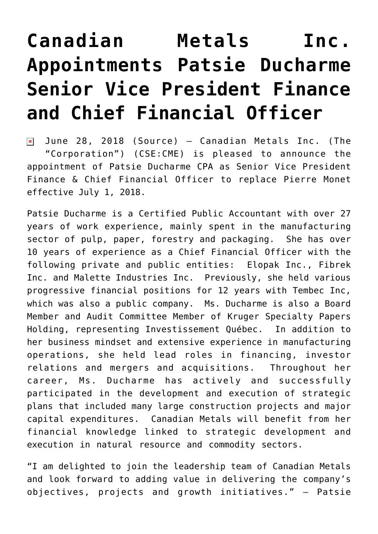## **[Canadian Metals Inc.](https://investorintel.com/markets/technology-metals/technology-metals-news/canadian-metals-inc-appointments-patsie-ducharme-senior-vice-president-finance-chief-financial-officer/) [Appointments Patsie Ducharme](https://investorintel.com/markets/technology-metals/technology-metals-news/canadian-metals-inc-appointments-patsie-ducharme-senior-vice-president-finance-chief-financial-officer/) [Senior Vice President Finance](https://investorintel.com/markets/technology-metals/technology-metals-news/canadian-metals-inc-appointments-patsie-ducharme-senior-vice-president-finance-chief-financial-officer/) [and Chief Financial Officer](https://investorintel.com/markets/technology-metals/technology-metals-news/canadian-metals-inc-appointments-patsie-ducharme-senior-vice-president-finance-chief-financial-officer/)**

 $\sqrt{2}$  June 28, 2018 ([Source\)](https://investorintel.com/iintel-members/canadian-metals-inc/) – Canadian Metals Inc. (The "Corporation") (CSE:CME) is pleased to announce the appointment of Patsie Ducharme CPA as Senior Vice President Finance & Chief Financial Officer to replace Pierre Monet effective July 1, 2018.

Patsie Ducharme is a Certified Public Accountant with over 27 years of work experience, mainly spent in the manufacturing sector of pulp, paper, forestry and packaging. She has over 10 years of experience as a Chief Financial Officer with the following private and public entities: Elopak Inc., Fibrek Inc. and Malette Industries Inc. Previously, she held various progressive financial positions for 12 years with Tembec Inc, which was also a public company. Ms. Ducharme is also a Board Member and Audit Committee Member of Kruger Specialty Papers Holding, representing Investissement Québec. In addition to her business mindset and extensive experience in manufacturing operations, she held lead roles in financing, investor relations and mergers and acquisitions. Throughout her career, Ms. Ducharme has actively and successfully participated in the development and execution of strategic plans that included many large construction projects and major capital expenditures. Canadian Metals will benefit from her financial knowledge linked to strategic development and execution in natural resource and commodity sectors.

"I am delighted to join the leadership team of Canadian Metals and look forward to adding value in delivering the company's objectives, projects and growth initiatives." – Patsie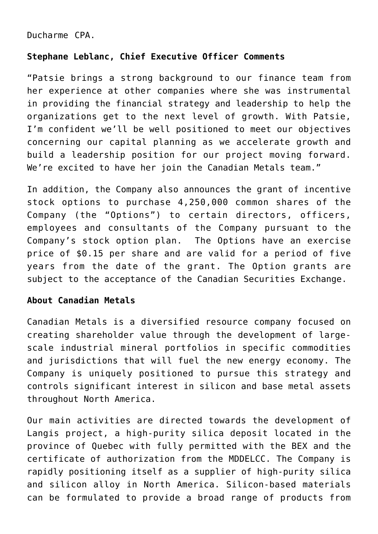Ducharme CPA.

## **Stephane Leblanc, Chief Executive Officer Comments**

"Patsie brings a strong background to our finance team from her experience at other companies where she was instrumental in providing the financial strategy and leadership to help the organizations get to the next level of growth. With Patsie, I'm confident we'll be well positioned to meet our objectives concerning our capital planning as we accelerate growth and build a leadership position for our project moving forward. We're excited to have her join the Canadian Metals team."

In addition, the Company also announces the grant of incentive stock options to purchase 4,250,000 common shares of the Company (the "Options") to certain directors, officers, employees and consultants of the Company pursuant to the Company's stock option plan. The Options have an exercise price of \$0.15 per share and are valid for a period of five years from the date of the grant. The Option grants are subject to the acceptance of the Canadian Securities Exchange.

## **About Canadian Metals**

Canadian Metals is a diversified resource company focused on creating shareholder value through the development of largescale industrial mineral portfolios in specific commodities and jurisdictions that will fuel the new energy economy. The Company is uniquely positioned to pursue this strategy and controls significant interest in silicon and base metal assets throughout North America.

Our main activities are directed towards the development of Langis project, a high-purity silica deposit located in the province of Quebec with fully permitted with the BEX and the certificate of authorization from the MDDELCC. The Company is rapidly positioning itself as a supplier of high-purity silica and silicon alloy in North America. Silicon-based materials can be formulated to provide a broad range of products from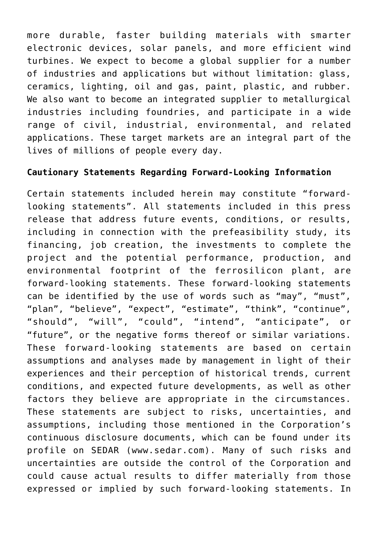more durable, faster building materials with smarter electronic devices, solar panels, and more efficient wind turbines. We expect to become a global supplier for a number of industries and applications but without limitation: glass, ceramics, lighting, oil and gas, paint, plastic, and rubber. We also want to become an integrated supplier to metallurgical industries including foundries, and participate in a wide range of civil, industrial, environmental, and related applications. These target markets are an integral part of the lives of millions of people every day.

## **Cautionary Statements Regarding Forward-Looking Information**

Certain statements included herein may constitute "forwardlooking statements". All statements included in this press release that address future events, conditions, or results, including in connection with the prefeasibility study, its financing, job creation, the investments to complete the project and the potential performance, production, and environmental footprint of the ferrosilicon plant, are forward-looking statements. These forward-looking statements can be identified by the use of words such as "may", "must", "plan", "believe", "expect", "estimate", "think", "continue", "should", "will", "could", "intend", "anticipate", or "future", or the negative forms thereof or similar variations. These forward-looking statements are based on certain assumptions and analyses made by management in light of their experiences and their perception of historical trends, current conditions, and expected future developments, as well as other factors they believe are appropriate in the circumstances. These statements are subject to risks, uncertainties, and assumptions, including those mentioned in the Corporation's continuous disclosure documents, which can be found under its profile on SEDAR ([www.sedar.com](http://www.sedar.com/)). Many of such risks and uncertainties are outside the control of the Corporation and could cause actual results to differ materially from those expressed or implied by such forward-looking statements. In